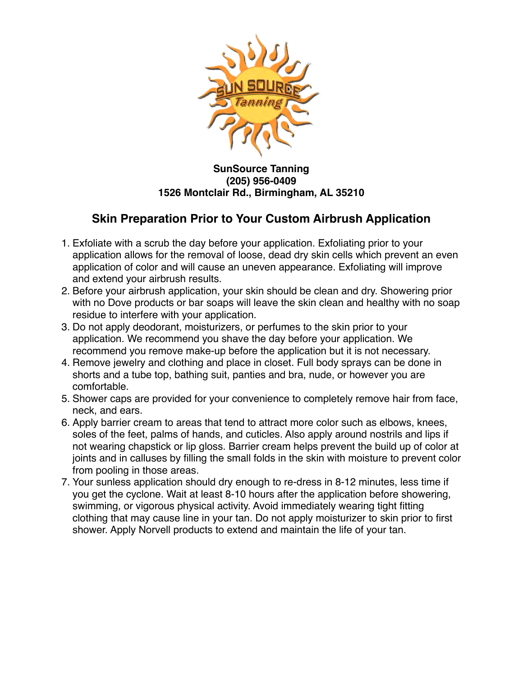

## **SunSource Tanning (205) 956-0409 1526 Montclair Rd., Birmingham, AL 35210**

## **Skin Preparation Prior to Your Custom Airbrush Application**

- 1. Exfoliate with a scrub the day before your application. Exfoliating prior to your application allows for the removal of loose, dead dry skin cells which prevent an even application of color and will cause an uneven appearance. Exfoliating will improve and extend your airbrush results.
- 2. Before your airbrush application, your skin should be clean and dry. Showering prior with no Dove products or bar soaps will leave the skin clean and healthy with no soap residue to interfere with your application.
- 3. Do not apply deodorant, moisturizers, or perfumes to the skin prior to your application. We recommend you shave the day before your application. We recommend you remove make-up before the application but it is not necessary.
- 4. Remove jewelry and clothing and place in closet. Full body sprays can be done in shorts and a tube top, bathing suit, panties and bra, nude, or however you are comfortable.
- 5. Shower caps are provided for your convenience to completely remove hair from face, neck, and ears.
- 6. Apply barrier cream to areas that tend to attract more color such as elbows, knees, soles of the feet, palms of hands, and cuticles. Also apply around nostrils and lips if not wearing chapstick or lip gloss. Barrier cream helps prevent the build up of color at joints and in calluses by filling the small folds in the skin with moisture to prevent color from pooling in those areas.
- 7. Your sunless application should dry enough to re-dress in 8-12 minutes, less time if you get the cyclone. Wait at least 8-10 hours after the application before showering, swimming, or vigorous physical activity. Avoid immediately wearing tight fitting clothing that may cause line in your tan. Do not apply moisturizer to skin prior to first shower. Apply Norvell products to extend and maintain the life of your tan.